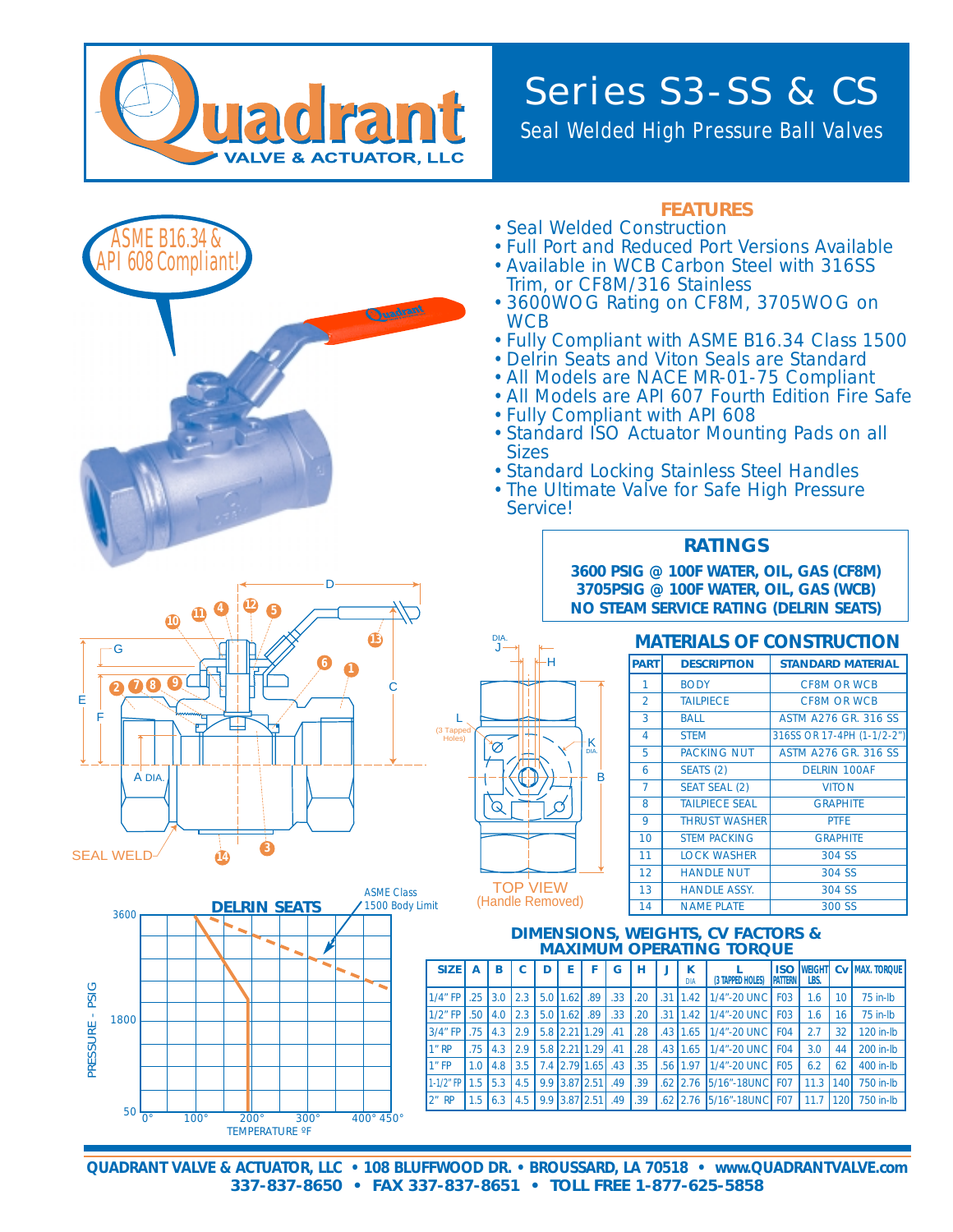

## Series S3-SS & CS

Seal Welded High Pressure Ball Valves

| <b>08 Complian</b>                                                                                        | <b>FEATURES</b><br>• Seal Welded Construction<br>• Full Port and Reduced Port Versions Available<br>• Available in WCB Carbon Steel with 316SS<br>Trim, or CF8M/316 Stainless<br>• 3600WOG Rating on CF8M, 3705WOG on<br><b>WCB</b><br>. Fully Compliant with ASME B16.34 Class 1500<br>• Delrin Seats and Viton Seals are Standard<br>• All Models are NACE MR-01-75 Compliant<br>• All Models are API 607 Fourth Edition Fire Safe<br>. Fully Compliant with API 608<br>• Standard ISO Actuator Mounting Pads on all<br><b>Sizes</b><br>• Standard Locking Stainless Steel Handles<br>• The Ultimate Valve for Safe High Pressure<br>Service! |                |     |                                                       |   |               |                     |                |                |                      |                  |                                                                                                                                              |                 |                           |                  |                             |  |
|-----------------------------------------------------------------------------------------------------------|-------------------------------------------------------------------------------------------------------------------------------------------------------------------------------------------------------------------------------------------------------------------------------------------------------------------------------------------------------------------------------------------------------------------------------------------------------------------------------------------------------------------------------------------------------------------------------------------------------------------------------------------------|----------------|-----|-------------------------------------------------------|---|---------------|---------------------|----------------|----------------|----------------------|------------------|----------------------------------------------------------------------------------------------------------------------------------------------|-----------------|---------------------------|------------------|-----------------------------|--|
|                                                                                                           |                                                                                                                                                                                                                                                                                                                                                                                                                                                                                                                                                                                                                                                 |                |     |                                                       |   |               |                     |                |                |                      |                  | <b>RATINGS</b><br>3600 PSIG @ 100F WATER, OIL, GAS (CF8M)<br>3705PSIG @ 100F WATER, OIL, GAS (WCB)<br>NO STEAM SERVICE RATING (DELRIN SEATS) |                 |                           |                  |                             |  |
| 10<br>DIA.<br><b>MATERIALS OF CONSTRUCTION</b>                                                            |                                                                                                                                                                                                                                                                                                                                                                                                                                                                                                                                                                                                                                                 |                |     |                                                       |   |               |                     |                |                |                      |                  |                                                                                                                                              |                 |                           |                  |                             |  |
| G                                                                                                         |                                                                                                                                                                                                                                                                                                                                                                                                                                                                                                                                                                                                                                                 |                |     |                                                       |   |               |                     |                |                |                      |                  |                                                                                                                                              |                 |                           |                  |                             |  |
|                                                                                                           |                                                                                                                                                                                                                                                                                                                                                                                                                                                                                                                                                                                                                                                 |                |     |                                                       | н |               |                     |                | <b>PART</b>    |                      |                  | <b>DESCRIPTION</b>                                                                                                                           |                 |                           |                  | <b>STANDARD MATERIAL</b>    |  |
| 08                                                                                                        |                                                                                                                                                                                                                                                                                                                                                                                                                                                                                                                                                                                                                                                 |                |     |                                                       |   |               |                     |                | $\mathbf{1}$   |                      | <b>BODY</b>      |                                                                                                                                              |                 | <b>CF8M OR WCB</b>        |                  |                             |  |
| Е                                                                                                         |                                                                                                                                                                                                                                                                                                                                                                                                                                                                                                                                                                                                                                                 |                |     |                                                       |   |               |                     |                | $\overline{2}$ |                      | <b>TAILPIECE</b> |                                                                                                                                              |                 | <b>CF8M OR WCB</b>        |                  |                             |  |
|                                                                                                           |                                                                                                                                                                                                                                                                                                                                                                                                                                                                                                                                                                                                                                                 |                |     |                                                       |   |               |                     |                | 3              |                      | <b>BALL</b>      |                                                                                                                                              |                 |                           |                  | <b>ASTM A276 GR. 316 SS</b> |  |
|                                                                                                           | (3 Tapped<br>Holes)                                                                                                                                                                                                                                                                                                                                                                                                                                                                                                                                                                                                                             |                |     |                                                       |   |               | ·K                  |                | 4              |                      | <b>STEM</b>      |                                                                                                                                              |                 |                           |                  | 316SS OR 17-4PH (1-1/2-2")  |  |
|                                                                                                           |                                                                                                                                                                                                                                                                                                                                                                                                                                                                                                                                                                                                                                                 |                |     |                                                       |   |               |                     |                | 5              |                      |                  | <b>PACKING NUT</b>                                                                                                                           |                 |                           |                  | <b>ASTM A276 GR. 316 SS</b> |  |
| A DIA.                                                                                                    |                                                                                                                                                                                                                                                                                                                                                                                                                                                                                                                                                                                                                                                 |                |     |                                                       |   |               | в                   |                | 6              |                      | SEATS (2)        |                                                                                                                                              |                 | <b>DELRIN 100AF</b>       |                  |                             |  |
|                                                                                                           |                                                                                                                                                                                                                                                                                                                                                                                                                                                                                                                                                                                                                                                 |                |     |                                                       |   |               |                     | $\overline{7}$ |                | <b>SEAT SEAL (2)</b> |                  |                                                                                                                                              |                 | <b>VITON</b>              |                  |                             |  |
|                                                                                                           |                                                                                                                                                                                                                                                                                                                                                                                                                                                                                                                                                                                                                                                 |                |     |                                                       |   |               |                     |                | 8              |                      |                  | <b>TAILPIECE SEAL</b>                                                                                                                        |                 |                           | <b>GRAPHITE</b>  |                             |  |
|                                                                                                           |                                                                                                                                                                                                                                                                                                                                                                                                                                                                                                                                                                                                                                                 |                |     |                                                       |   |               |                     |                | 9              |                      |                  | <b>THRUST WASHER</b>                                                                                                                         |                 |                           | <b>PTFE</b>      |                             |  |
|                                                                                                           |                                                                                                                                                                                                                                                                                                                                                                                                                                                                                                                                                                                                                                                 |                |     |                                                       |   |               |                     |                | 10             |                      |                  | <b>STEM PACKING</b>                                                                                                                          |                 |                           | <b>GRAPHITE</b>  |                             |  |
| <b>SEAL WELD</b>                                                                                          |                                                                                                                                                                                                                                                                                                                                                                                                                                                                                                                                                                                                                                                 |                |     |                                                       |   |               |                     |                | 11<br>12       |                      |                  | <b>LOCK WASHER</b>                                                                                                                           |                 |                           | 304 SS           |                             |  |
|                                                                                                           |                                                                                                                                                                                                                                                                                                                                                                                                                                                                                                                                                                                                                                                 |                |     | <b>TOP VIEW</b>                                       |   |               |                     |                | 13             |                      |                  | <b>HANDLE NUT</b><br><b>HANDLE ASSY.</b>                                                                                                     |                 |                           | 304 SS<br>304 SS |                             |  |
| <b>ASME Class</b><br>1500 Body Limit<br><b>DELRIN SEATS</b>                                               |                                                                                                                                                                                                                                                                                                                                                                                                                                                                                                                                                                                                                                                 |                |     | (Handle Removed)                                      |   |               |                     |                | 14             |                      |                  | <b>NAME PLATE</b>                                                                                                                            |                 |                           | 300 SS           |                             |  |
| 3600                                                                                                      |                                                                                                                                                                                                                                                                                                                                                                                                                                                                                                                                                                                                                                                 |                |     |                                                       |   |               |                     |                |                |                      |                  |                                                                                                                                              |                 |                           |                  |                             |  |
| ۰                                                                                                         | <b>DIMENSIONS, WEIGHTS, CV FACTORS &amp;</b><br><b>MAXIMUM OPERATING TORQUE</b>                                                                                                                                                                                                                                                                                                                                                                                                                                                                                                                                                                 |                |     |                                                       |   |               |                     |                |                |                      |                  |                                                                                                                                              |                 |                           |                  |                             |  |
|                                                                                                           |                                                                                                                                                                                                                                                                                                                                                                                                                                                                                                                                                                                                                                                 |                |     |                                                       |   |               |                     |                |                |                      |                  |                                                                                                                                              |                 |                           |                  |                             |  |
|                                                                                                           | <b>SIZE</b>                                                                                                                                                                                                                                                                                                                                                                                                                                                                                                                                                                                                                                     | $\overline{A}$ | в   | C                                                     | D | E             | F                   | G              | н              | J                    | K<br><b>DIA</b>  | (3 TAPPED HOLES)                                                                                                                             | PATTERN         | <b>ISO WEIGHT</b><br>LBS. |                  | Cv MAX. TORQUE              |  |
|                                                                                                           | $1/4$ " FP                                                                                                                                                                                                                                                                                                                                                                                                                                                                                                                                                                                                                                      | .25            | 3.0 | 2.3 5.0 1.62                                          |   |               | .89                 | .33            | .20            |                      | $.31$   1.42     | 1/4"-20 UNC   F03                                                                                                                            |                 | 1.6                       | 10 <sup>°</sup>  | 75 in-lb                    |  |
| - PSIG                                                                                                    | $1/2$ " FP                                                                                                                                                                                                                                                                                                                                                                                                                                                                                                                                                                                                                                      | .50            | 4.0 | $2.3$ 5.0 1.62                                        |   |               | .89                 | .33            | .20            |                      | $.31 \mid 1.42$  | 1/4"-20 UNC                                                                                                                                  | F <sub>03</sub> | 1.6                       | 16               | $75$ in- $lb$               |  |
| 1800                                                                                                      | $3/4"$ FP                                                                                                                                                                                                                                                                                                                                                                                                                                                                                                                                                                                                                                       | .75            | 4.3 | $\vert$ 2.9 $\vert$ 5.8 $\vert$ 2.21 1.29 $\vert$ .41 |   |               |                     |                | .28            |                      | $.43$   1.65     | 1/4"-20 UNC   F04                                                                                                                            |                 | 2.7                       | 32               | 120 in-lb                   |  |
| PRESSURE                                                                                                  | 1"RP                                                                                                                                                                                                                                                                                                                                                                                                                                                                                                                                                                                                                                            | .75            | 4.3 | $2.9$                                                 |   |               | $5.8$ 2.21 1.29 .41 |                | .28            |                      |                  | .43 1.65 1/4"-20 UNC F04                                                                                                                     |                 | 3.0                       | 44               | 200 in-lb                   |  |
|                                                                                                           | 1"FP                                                                                                                                                                                                                                                                                                                                                                                                                                                                                                                                                                                                                                            | 1.0            | 4.8 | 3.5                                                   |   |               | 7.4 2.79 1.65       | .43            | .35            |                      | $.56$   1.97     | 1/4"-20 UNC   F05                                                                                                                            |                 | 6.2                       | 62               | 400 in-lb                   |  |
|                                                                                                           | $1-1/2"$ FP                                                                                                                                                                                                                                                                                                                                                                                                                                                                                                                                                                                                                                     | 1.5            | 5.3 | 4.5                                                   |   | 9.9 3.87 2.51 |                     | .49            | .39            |                      |                  | .62 2.76 5/16"-18UNC F07                                                                                                                     |                 | 11.3                      | 140              | 750 in-lb                   |  |
|                                                                                                           | $2n$ RP                                                                                                                                                                                                                                                                                                                                                                                                                                                                                                                                                                                                                                         | 1.5            | 6.3 | 4.5                                                   |   | 9.9 3.87 2.51 |                     | .49            | .39            | .62                  |                  | 2.76 5/16"-18UNC F07                                                                                                                         |                 | 11.7                      | 120              | 750 in-lb                   |  |
| 50<br>$\Omega^{\circ}$<br>400° 450°<br>$100^\circ$<br>$200^\circ$<br>$300^\circ$<br><b>TEMPERATURE °F</b> |                                                                                                                                                                                                                                                                                                                                                                                                                                                                                                                                                                                                                                                 |                |     |                                                       |   |               |                     |                |                |                      |                  |                                                                                                                                              |                 |                           |                  |                             |  |

**QUADRANT VALVE & ACTUATOR, LLC • 108 BLUFFWOOD DR. • BROUSSARD, LA 70518 • www.QUADRANTVALVE.com 337-837-8650 • FAX 337-837-8651 • TOLL FREE 1-877-625-5858**